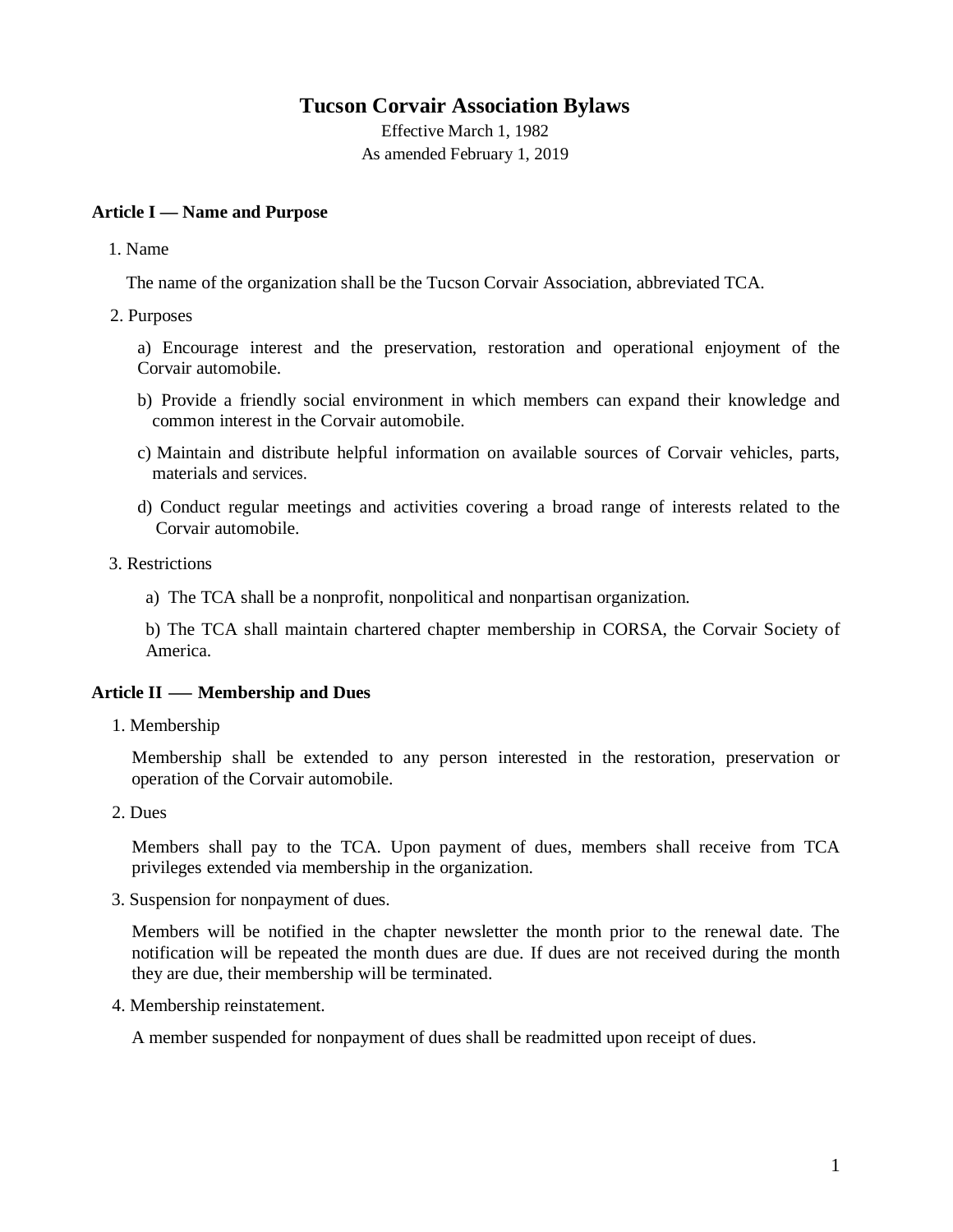# **Tucson Corvair Association Bylaws**

Effective March 1, 1982 As amended February 1, 2019

# **Article I — Name and Purpose**

1. Name

The name of the organization shall be the Tucson Corvair Association, abbreviated TCA.

2. Purposes

a) Encourage interest and the preservation, restoration and operational enjoyment of the Corvair automobile.

- b) Provide a friendly social environment in which members can expand their knowledge and common interest in the Corvair automobile.
- c) Maintain and distribute helpful information on available sources of Corvair vehicles, parts, materials and services.
- d) Conduct regular meetings and activities covering a broad range of interests related to the Corvair automobile.
- 3. Restrictions
	- a) The TCA shall be a nonprofit, nonpolitical and nonpartisan organization.

b) The TCA shall maintain chartered chapter membership in CORSA, the Corvair Society of America.

# **Article II — Membership and Dues**

1. Membership

Membership shall be extended to any person interested in the restoration, preservation or operation of the Corvair automobile.

2. Dues

Members shall pay to the TCA. Upon payment of dues, members shall receive from TCA privileges extended via membership in the organization.

3. Suspension for nonpayment of dues.

Members will be notified in the chapter newsletter the month prior to the renewal date. The notification will be repeated the month dues are due. If dues are not received during the month they are due, their membership will be terminated.

4. Membership reinstatement.

A member suspended for nonpayment of dues shall be readmitted upon receipt of dues.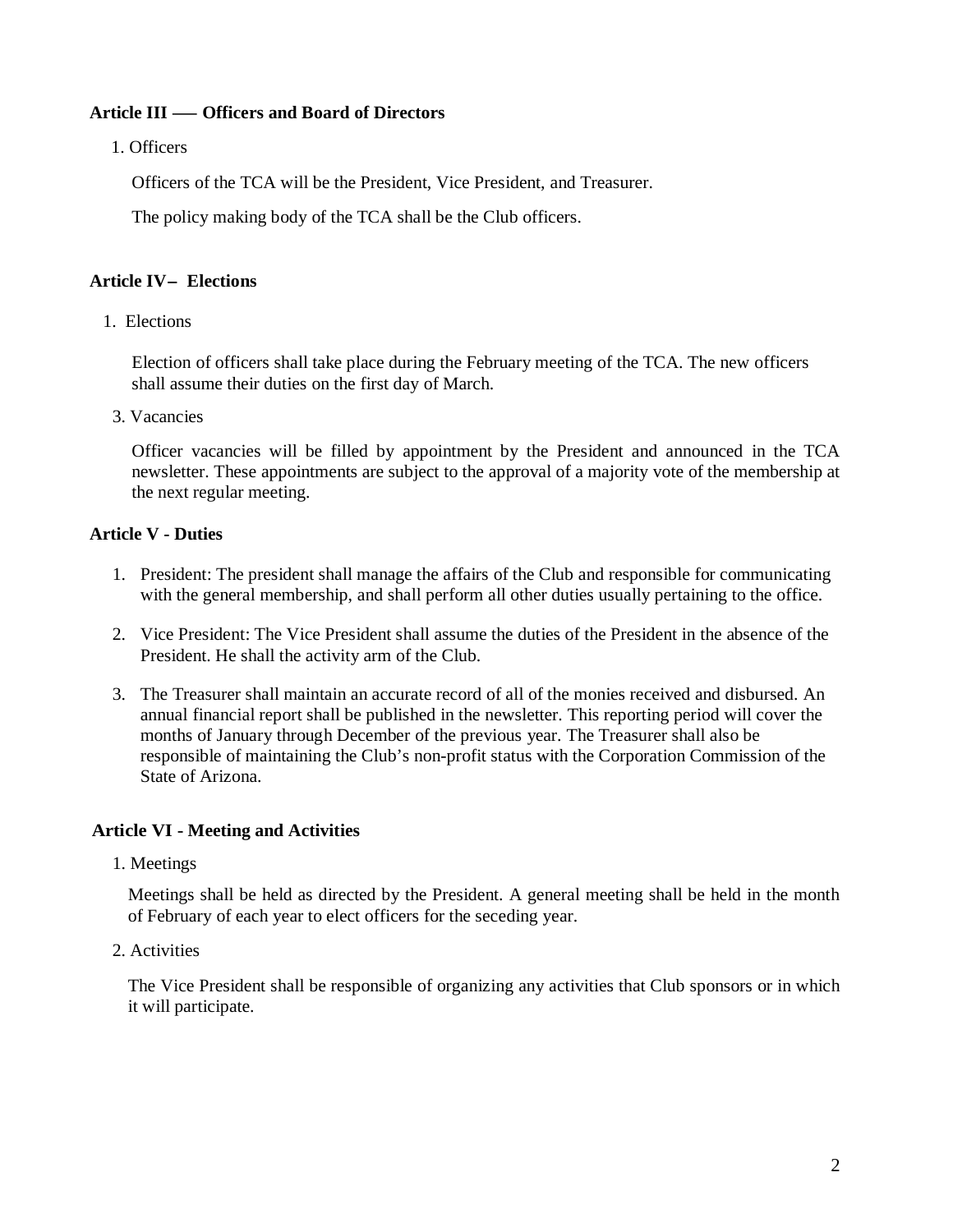# **Article III — Officers and Board of Directors**

1. Officers

Officers of the TCA will be the President, Vice President, and Treasurer.

The policy making body of the TCA shall be the Club officers.

### **Article IV- Elections**

1. Elections

Election of officers shall take place during the February meeting of the TCA. The new officers shall assume their duties on the first day of March.

3. Vacancies

Officer vacancies will be filled by appointment by the President and announced in the TCA newsletter. These appointments are subject to the approval of a majority vote of the membership at the next regular meeting.

# **Article V - Duties**

- 1. President: The president shall manage the affairs of the Club and responsible for communicating with the general membership, and shall perform all other duties usually pertaining to the office.
- 2. Vice President: The Vice President shall assume the duties of the President in the absence of the President. He shall the activity arm of the Club.
- 3. The Treasurer shall maintain an accurate record of all of the monies received and disbursed. An annual financial report shall be published in the newsletter. This reporting period will cover the months of January through December of the previous year. The Treasurer shall also be responsible of maintaining the Club's non-profit status with the Corporation Commission of the State of Arizona.

# **Article VI - Meeting and Activities**

1. Meetings

Meetings shall be held as directed by the President. A general meeting shall be held in the month of February of each year to elect officers for the seceding year.

2. Activities

The Vice President shall be responsible of organizing any activities that Club sponsors or in which it will participate.